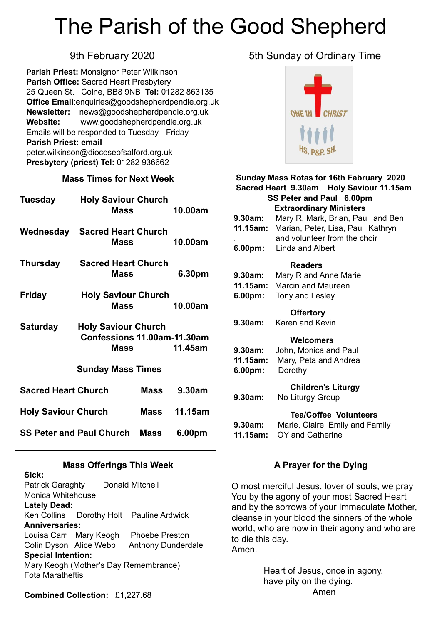# The Parish of the Good Shepherd

**Parish Priest:** Monsignor Peter Wilkinson **Parish Office:** Sacred Heart Presbytery 25 Queen St. Colne, BB8 9NB **Tel:** 01282 863135 **Office Email**[:enquiries@goodshepherdpendle.org.uk](mailto:enquiries@goodshepherdpendle.org.uk) **Newsletter:** news@goodshepherdpendle.org.uk **Website:** www.goodshepherdpendle.org.uk Emails will be responded to Tuesday - Friday **Parish Priest: email**  [peter.wilkinson@dioceseofsalford.org.uk](mailto:Emailpeter.wilkinson@dioceseofsalford.org.uk) **Presbytery (priest) Tel:** 01282 936662

#### **Mass Times for Next Week**

| Tuesday                         | <b>Holy Saviour Church</b><br>Mass                                                  |        | 10.00am |
|---------------------------------|-------------------------------------------------------------------------------------|--------|---------|
| Wednesday                       | <b>Sacred Heart Church</b><br>Mass                                                  |        | 10.00am |
| <b>Thursday</b>                 | <b>Sacred Heart Church</b><br><b>Mass</b>                                           |        | 6.30pm  |
| <b>Friday</b>                   | <b>Holy Saviour Church</b><br>Mass                                                  |        | 10.00am |
| <b>Saturday</b>                 | <b>Holy Saviour Church</b><br>Confessions 11.00am-11.30am<br><b>Mass</b><br>11.45am |        |         |
| <b>Sunday Mass Times</b>        |                                                                                     |        |         |
| <b>Sacred Heart Church</b>      |                                                                                     | Mass   | 9.30am  |
| <b>Holy Saviour Church</b>      |                                                                                     | Mass   | 11.15am |
| <b>SS Peter and Paul Church</b> | <b>Mass</b>                                                                         | 6.00pm |         |

#### **Mass Offerings This Week**

**Sick:** Patrick Garaghty Donald Mitchell Monica Whitehouse **Lately Dead:**  Ken Collins Dorothy Holt Pauline Ardwick **Anniversaries:** Louisa Carr Mary Keogh Phoebe Preston Colin Dyson Alice Webb Anthony Dunderdale **Special Intention:** Mary Keogh (Mother's Day Remembrance) Fota Maratheftis

9th February 2020 **5th Sunday of Ordinary Time** 



### **Sunday Mass Rotas for 16th February 2020 Sacred Heart 9.30am Holy Saviour 11.15am SS Peter and Paul 6.00pm Extraordinary Ministers 9.30am:** Mary R, Mark, Brian, Paul, and Ben **11.15am:** Marian, Peter, Lisa, Paul, Kathryn . and volunteer from the choir **6.00pm:** Linda and Albert  **Readers 9.30am:** Mary R and Anne Marie **11.15am:** Marcin and Maureen **6.00pm:** Tony and Lesley  **Offertory 9.30am:** Karen and Kevin  **Welcomers 9.30am:** John, Monica and Paul **11.15am:** Mary, Peta and Andrea **6.00pm:** Dorothy  **Children's Liturgy 9.30am:** No Liturgy Group **Tea/Coffee Volunteers 9.30am:** Marie, Claire, Emily and Family **11.15am:** OY and Catherine

#### **A Prayer for the Dying**

O most merciful Jesus, lover of souls, we pray You by the agony of your most Sacred Heart and by the sorrows of your Immaculate Mother, cleanse in your blood the sinners of the whole world, who are now in their agony and who are to die this day. Amen.

> Heart of Jesus, once in agony, have pity on the dying. Amen

**Combined Collection:** £1,227.68